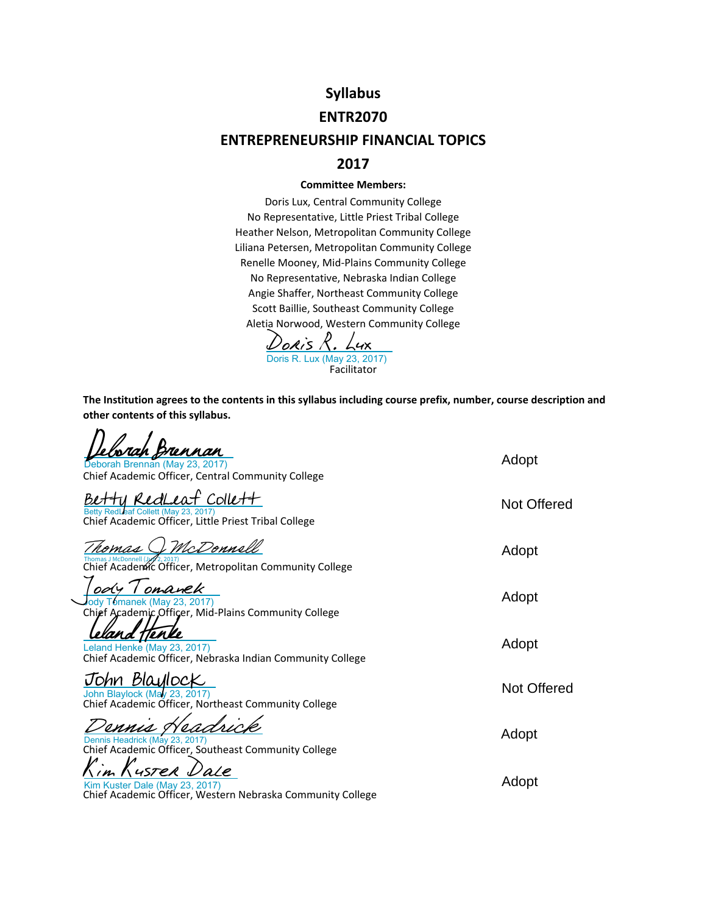# **Syllabus**

### **ENTR2070**

## **ENTREPRENEURSHIP FINANCIAL TOPICS**

### **2017**

#### **Committee Members:**

Doris Lux, Central Community College No Representative, Little Priest Tribal College Heather Nelson, Metropolitan Community College Liliana Petersen, Metropolitan Community College Renelle Mooney, Mid‐Plains Community College No Representative, Nebraska Indian College Angie Shaffer, Northeast Community College Scott Baillie, Southeast Community College Aletia Norwood, Western Community College

Facilitator [Doris R. Lux](https://na1.documents.adobe.com/verifier?tx=CBJCHBCAABAAQrLWkoqrd0i8-JdhXWz-5Sx5DQRNxzuz)<br>Doris R. Lux (May 23, 2017)

**The Institution agrees to the contents in this syllabus including course prefix, number, course description and other contents of this syllabus.**

| rennan<br>Deborah Brennan (May 23, 2017)<br>Chief Academic Officer, Central Community College                       | Adopt              |
|---------------------------------------------------------------------------------------------------------------------|--------------------|
| f Collet+<br>RedLes<br>Betty RedLeaf Collett (May 23, 2017)<br>Chief Academic Officer, Little Priest Tribal College | <b>Not Offered</b> |
| McDonnell<br>Chief Academic Officer, Metropolitan Community College                                                 | Adopt              |
| ody I omanek<br>Tomanek (May 23, 2017)<br>Chief Academic Officer, Mid-Plains Community College                      | Adopt              |
| Leland Henke (May 23, 2017)<br>Chief Academic Officer, Nebraska Indian Community College                            | Adopt              |
| John BlaylocK<br>John Blaylock (May 23, 2017)<br>Chief Academic Officer, Northeast Community College                | <b>Not Offered</b> |
| Dennis Headrick (May 23, 2017)<br>Chief Academic Officer, Southeast Community College                               | Adopt              |
| Kim Kuster Dale (May 23, 2017)<br>Chief Academic Officer, Western Nebraska Community College                        | Adopt              |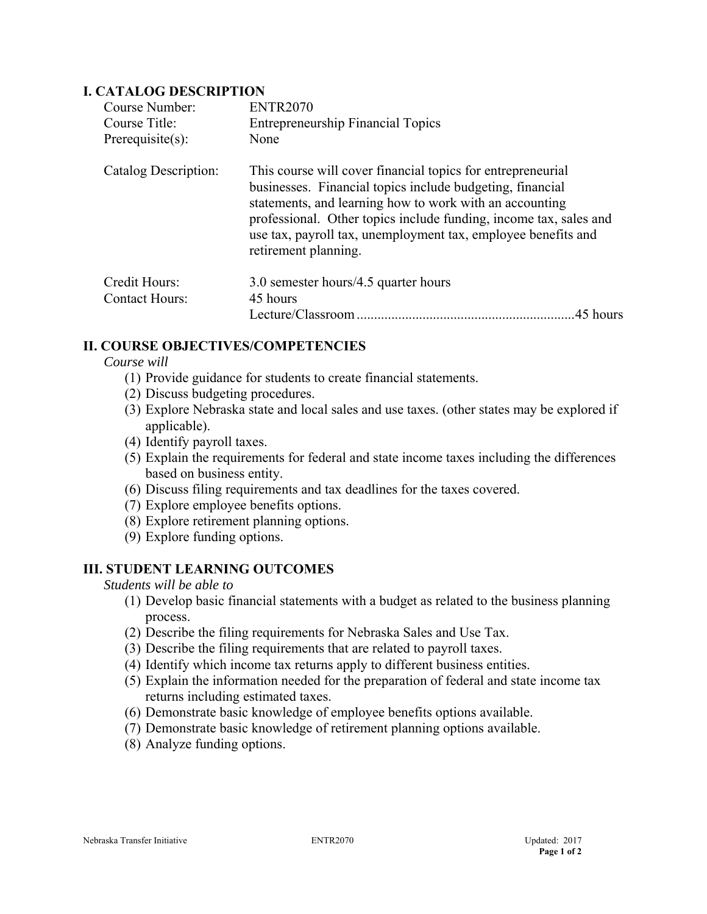#### **I. CATALOG DESCRIPTION**

| Course Number:        | <b>ENTR2070</b>                                                                                                                                                                                                                                                                                                                                   |
|-----------------------|---------------------------------------------------------------------------------------------------------------------------------------------------------------------------------------------------------------------------------------------------------------------------------------------------------------------------------------------------|
| Course Title:         | <b>Entrepreneurship Financial Topics</b>                                                                                                                                                                                                                                                                                                          |
| Prerequisite $(s)$ :  | None                                                                                                                                                                                                                                                                                                                                              |
| Catalog Description:  | This course will cover financial topics for entrepreneurial<br>businesses. Financial topics include budgeting, financial<br>statements, and learning how to work with an accounting<br>professional. Other topics include funding, income tax, sales and<br>use tax, payroll tax, unemployment tax, employee benefits and<br>retirement planning. |
| Credit Hours:         | 3.0 semester hours/4.5 quarter hours                                                                                                                                                                                                                                                                                                              |
| <b>Contact Hours:</b> | 45 hours                                                                                                                                                                                                                                                                                                                                          |
|                       | .45 hours                                                                                                                                                                                                                                                                                                                                         |

### **II. COURSE OBJECTIVES/COMPETENCIES**

- *Course will*
	- (1) Provide guidance for students to create financial statements.
	- (2) Discuss budgeting procedures.
	- (3) Explore Nebraska state and local sales and use taxes. (other states may be explored if applicable).
	- (4) Identify payroll taxes.
	- (5) Explain the requirements for federal and state income taxes including the differences based on business entity.
	- (6) Discuss filing requirements and tax deadlines for the taxes covered.
	- (7) Explore employee benefits options.
	- (8) Explore retirement planning options.
	- (9) Explore funding options.

#### **III. STUDENT LEARNING OUTCOMES**

*Students will be able to*

- (1) Develop basic financial statements with a budget as related to the business planning process.
- (2) Describe the filing requirements for Nebraska Sales and Use Tax.
- (3) Describe the filing requirements that are related to payroll taxes.
- (4) Identify which income tax returns apply to different business entities.
- (5) Explain the information needed for the preparation of federal and state income tax returns including estimated taxes.
- (6) Demonstrate basic knowledge of employee benefits options available.
- (7) Demonstrate basic knowledge of retirement planning options available.
- (8) Analyze funding options.